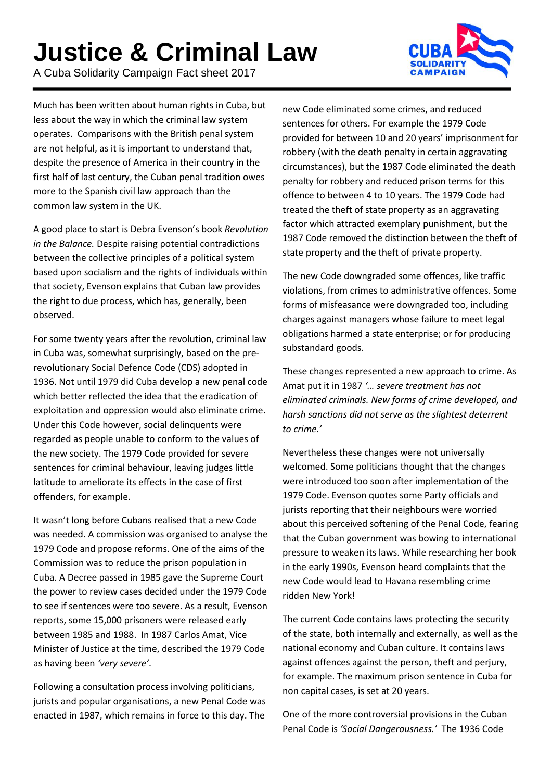## **Justice & Criminal Law**

A Cuba Solidarity Campaign Fact sheet 2017



Much has been written about human rights in Cuba, but less about the way in which the criminal law system operates. Comparisons with the British penal system are not helpful, as it is important to understand that, despite the presence of America in their country in the first half of last century, the Cuban penal tradition owes more to the Spanish civil law approach than the common law system in the UK.

A good place to start is Debra Evenson's book *Revolution in the Balance.* Despite raising potential contradictions between the collective principles of a political system based upon socialism and the rights of individuals within that society, Evenson explains that Cuban law provides the right to due process, which has, generally, been observed.

For some twenty years after the revolution, criminal law in Cuba was, somewhat surprisingly, based on the prerevolutionary Social Defence Code (CDS) adopted in 1936. Not until 1979 did Cuba develop a new penal code which better reflected the idea that the eradication of exploitation and oppression would also eliminate crime. Under this Code however, social delinquents were regarded as people unable to conform to the values of the new society. The 1979 Code provided for severe sentences for criminal behaviour, leaving judges little latitude to ameliorate its effects in the case of first offenders, for example.

It wasn't long before Cubans realised that a new Code was needed. A commission was organised to analyse the 1979 Code and propose reforms. One of the aims of the Commission was to reduce the prison population in Cuba. A Decree passed in 1985 gave the Supreme Court the power to review cases decided under the 1979 Code to see if sentences were too severe. As a result, Evenson reports, some 15,000 prisoners were released early between 1985 and 1988. In 1987 Carlos Amat, Vice Minister of Justice at the time, described the 1979 Code as having been *'very severe'*.

Following a consultation process involving politicians, jurists and popular organisations, a new Penal Code was enacted in 1987, which remains in force to this day. The

new Code eliminated some crimes, and reduced sentences for others. For example the 1979 Code provided for between 10 and 20 years' imprisonment for robbery (with the death penalty in certain aggravating circumstances), but the 1987 Code eliminated the death penalty for robbery and reduced prison terms for this offence to between 4 to 10 years. The 1979 Code had treated the theft of state property as an aggravating factor which attracted exemplary punishment, but the 1987 Code removed the distinction between the theft of state property and the theft of private property.

The new Code downgraded some offences, like traffic violations, from crimes to administrative offences. Some forms of misfeasance were downgraded too, including charges against managers whose failure to meet legal obligations harmed a state enterprise; or for producing substandard goods.

These changes represented a new approach to crime. As Amat put it in 1987 *'… severe treatment has not eliminated criminals. New forms of crime developed, and harsh sanctions did not serve as the slightest deterrent to crime.'* 

Nevertheless these changes were not universally welcomed. Some politicians thought that the changes were introduced too soon after implementation of the 1979 Code. Evenson quotes some Party officials and jurists reporting that their neighbours were worried about this perceived softening of the Penal Code, fearing that the Cuban government was bowing to international pressure to weaken its laws. While researching her book in the early 1990s, Evenson heard complaints that the new Code would lead to Havana resembling crime ridden New York!

The current Code contains laws protecting the security of the state, both internally and externally, as well as the national economy and Cuban culture. It contains laws against offences against the person, theft and perjury, for example. The maximum prison sentence in Cuba for non capital cases, is set at 20 years.

One of the more controversial provisions in the Cuban Penal Code is *'Social Dangerousness.'* The 1936 Code